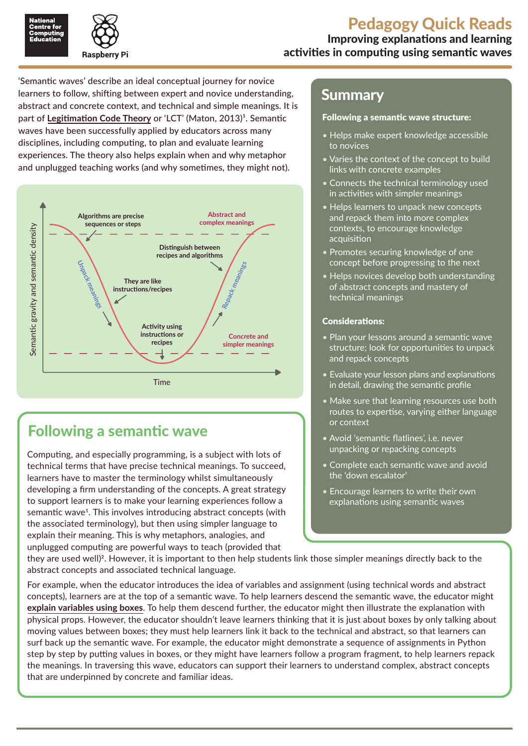

'Semantic waves' describe an ideal conceptual journey for novice learners to follow, shifting between expert and novice understanding, abstract and concrete context, and technical and simple meanings. It is part of [Legitimation Code Theory](http://ncce.io/qr06_3) or 'LCT' (Maton, 2013)<sup>1</sup>. Semantic waves have been successfully applied by educators across many disciplines, including computing, to plan and evaluate learning experiences. The theory also helps explain when and why metaphor and unplugged teaching works (and why sometimes, they might not).



# Following a semantic wave

Computing, and especially programming, is a subject with lots of technical terms that have precise technical meanings. To succeed, learners have to master the terminology whilst simultaneously developing a firm understanding of the concepts. A great strategy to support learners is to make your learning experiences follow a semantic wave<sup>1</sup>. This involves introducing abstract concepts (with the associated terminology), but then using simpler language to explain their meaning. This is why metaphors, analogies, and unplugged computing are powerful ways to teach (provided that

### Summary

#### Following a semantic wave structure:

- Helps make expert knowledge accessible to novices
- Varies the context of the concept to build links with concrete examples
- Connects the technical terminology used in activities with simpler meanings
- Helps learners to unpack new concepts and repack them into more complex contexts, to encourage knowledge acquisition
- Promotes securing knowledge of one concept before progressing to the next
- Helps novices develop both understanding of abstract concepts and mastery of technical meanings

#### Considerations:

- Plan your lessons around a semantic wave structure; look for opportunities to unpack and repack concepts
- Evaluate your lesson plans and explanations in detail, drawing the semantic profile
- Make sure that learning resources use both routes to expertise, varying either language or context
- Avoid 'semantic flatlines', i.e. never unpacking or repacking concepts
- Complete each semantic wave and avoid the 'down escalator'
- Encourage learners to write their own explanations using semantic waves

they are used well)<sup>2</sup>. However, it is important to then help students link those simpler meanings directly back to the abstract concepts and associated technical language.

For example, when the educator introduces the idea of variables and assignment (using technical words and abstract concepts), learners are at the top of a semantic wave. To help learners descend the semantic wave, the educator might **[explain variables using boxes](http://ncce.io/qr06_4)**. To help them descend further, the educator might then illustrate the explanation with physical props. However, the educator shouldn't leave learners thinking that it is just about boxes by only talking about moving values between boxes; they must help learners link it back to the technical and abstract, so that learners can surf back up the semantic wave. For example, the educator might demonstrate a sequence of assignments in Python step by step by putting values in boxes, or they might have learners follow a program fragment, to help learners repack the meanings. In traversing this wave, educators can support their learners to understand complex, abstract concepts that are underpinned by concrete and familiar ideas.